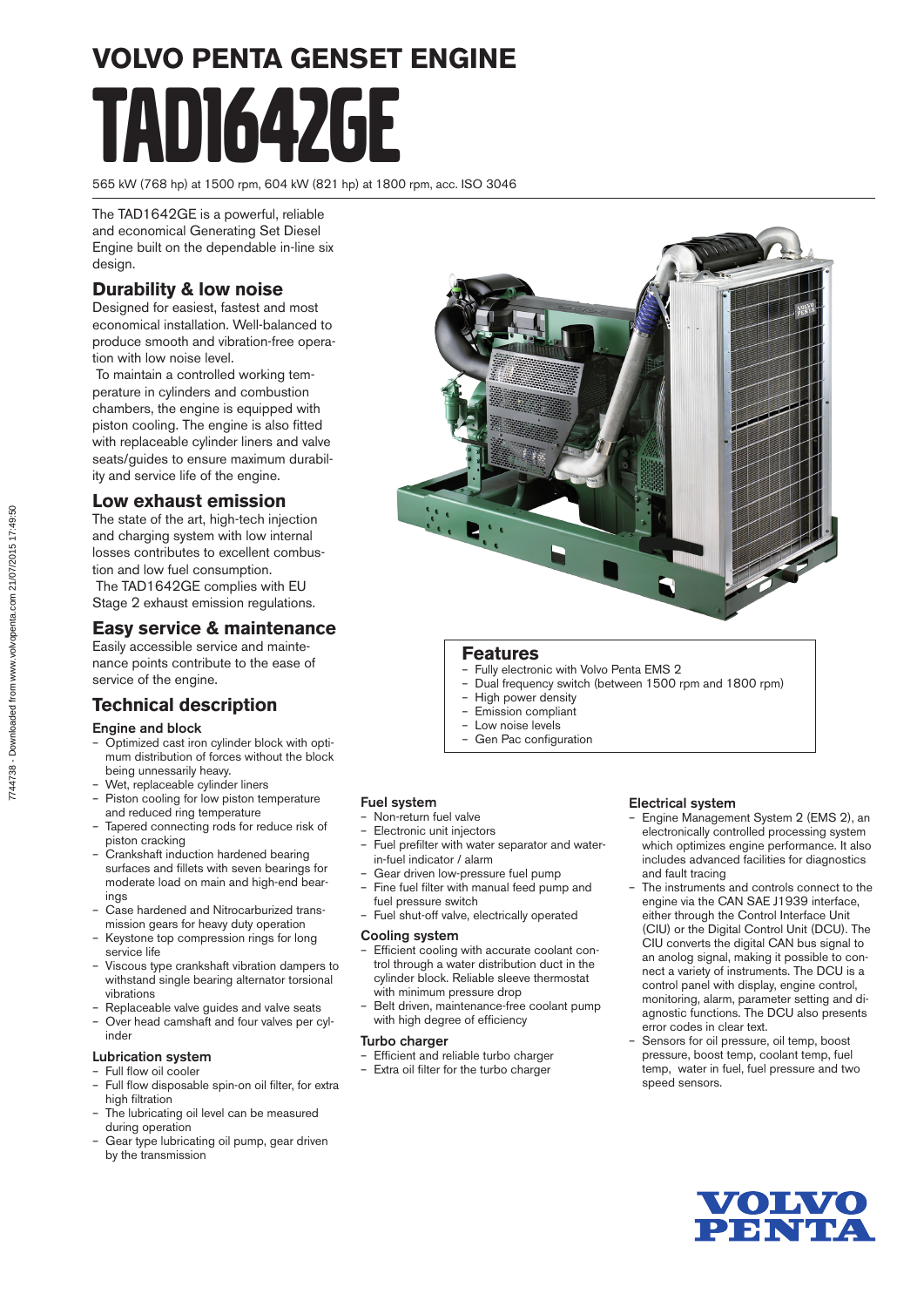# **VOLVO PENTA GENSET ENGINE** TAD1642GE

565 kW (768 hp) at 1500 rpm, 604 kW (821 hp) at 1800 rpm, acc. ISO 3046

The TAD1642GE is a powerful, reliable and economical Generating Set Diesel Engine built on the dependable in-line six design.

### **Durability & low noise**

Designed for easiest, fastest and most economical installation. Well-balanced to produce smooth and vibration-free operation with low noise level.

 To maintain a controlled working temperature in cylinders and combustion chambers, the engine is equipped with piston cooling. The engine is also fitted with replaceable cylinder liners and valve seats/guides to ensure maximum durability and service life of the engine.

#### **Low exhaust emission**

The state of the art, high-tech injection and charging system with low internal losses contributes to excellent combustion and low fuel consumption. The TAD1642GE complies with EU Stage 2 exhaust emission regulations.

#### **Easy service & maintenance**

Easily accessible service and maintenance points contribute to the ease of service of the engine.

#### **Technical description**

#### Engine and block

- Optimized cast iron cylinder block with optimum distribution of forces without the block being unnessarily heavy.
- Wet, replaceable cylinder liners
- Piston cooling for low piston temperature and reduced ring temperature
- Tapered connecting rods for reduce risk of piston cracking
- Crankshaft induction hardened bearing surfaces and fillets with seven bearings for moderate load on main and high-end bearings
- Case hardened and Nitrocarburized transmission gears for heavy duty operation
- Keystone top compression rings for long service life
- Viscous type crankshaft vibration dampers to withstand single bearing alternator torsional vibrations
- Replaceable valve guides and valve seats – Over head camshaft and four valves per cylinder

#### Lubrication system – Full flow oil cooler

- Full flow disposable spin-on oil filter, for extra high filtration
- The lubricating oil level can be measured during operation
- Gear type lubricating oil pump, gear driven by the transmission



#### **Features**

- Fully electronic with Volvo Penta EMS 2
- Dual frequency switch (between 1500 rpm and 1800 rpm)
- High power density
- Emission compliant
- Low noise levels
- Gen Pac configuration

#### Fuel system

- Non-return fuel valve
- Electronic unit injectors
- Fuel prefilter with water separator and waterin-fuel indicator / alarm
- Gear driven low-pressure fuel pump
- Fine fuel filter with manual feed pump and fuel pressure switch
- Fuel shut-off valve, electrically operated

#### Cooling system

- Efficient cooling with accurate coolant control through a water distribution duct in the cylinder block. Reliable sleeve thermostat with minimum pressure drop
- Belt driven, maintenance-free coolant pump with high degree of efficiency

#### Turbo charger

- Efficient and reliable turbo charger
- Extra oil filter for the turbo charger

#### Electrical system

- Engine Management System 2 (EMS 2), an electronically controlled processing system which optimizes engine performance. It also includes advanced facilities for diagnostics and fault tracing
- The instruments and controls connect to the engine via the CAN SAE J1939 interface, either through the Control Interface Unit (CIU) or the Digital Control Unit (DCU). The CIU converts the digital CAN bus signal to an anolog signal, making it possible to connect a variety of instruments. The DCU is a control panel with display, engine control, monitoring, alarm, parameter setting and diagnostic functions. The DCU also presents error codes in clear text.
- Sensors for oil pressure, oil temp, boost pressure, boost temp, coolant temp, fuel temp, water in fuel, fuel pressure and two speed sensors.



7744738 - Downloaded from www.volvopenta.com 21/07/2015 17:49:507744738 - Downloaded from www.volvopenta.com 21/07/2015 17:49:50